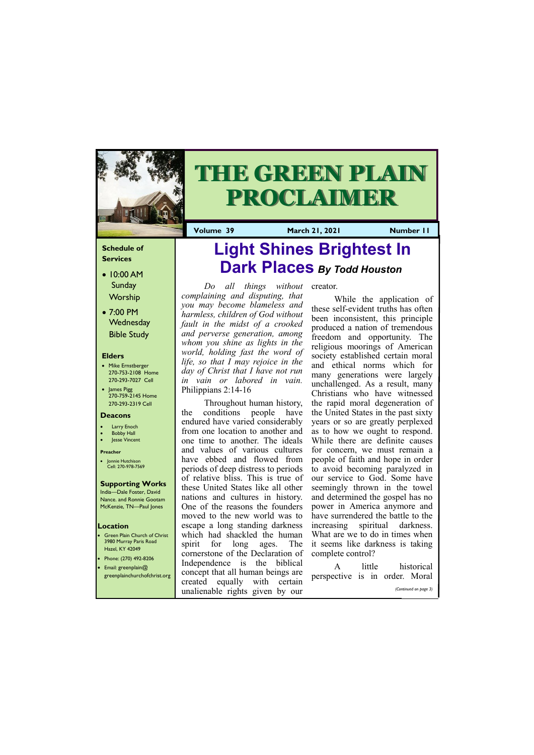### **Schedule of Services**

- 10:00 AM Sunday Worship
- 7:00 PM **Wednesday** Bible Study

#### **Elders**

- Mike Ernstberger 270-753-2108 Home 270-293-7027 Cell
- James Pigg 270-759-2145 Home 270-293-2319 Cell

- **Green Plain Church of Christ** 3980 Murray Paris Road Hazel, KY 42049 • Phone: (270) 492-8206
- Email: greenplain@

#### **Location**



# **THE GREEN PLAIN PROCLAIMER**

**Volume 39 March 21, 2021 Mumber 11** 

#### **Deacons**

- **Larry Enoch**
- **Bobby Hall**
- Jesse Vincent

#### **Preacher**

• Jonnie Hutchison Cell: 270-978-7569

# **Supporting Works**

India—Dale Foster, David Nance. and Ronnie Gootam McKenzie, TN—Paul Jones

*Do all things without complaining and disputing, that you may become blameless and harmless, children of God without fault in the midst of a crooked and perverse generation, among whom you shine as lights in the world, holding fast the word of life, so that I may rejoice in the day of Christ that I have not run in vain or labored in vain.*  Philippians 2:14-16

Throughout human history, the conditions people have endured have varied considerably from one location to another and one time to another. The ideals and values of various cultures have ebbed and flowed from periods of deep distress to periods of relative bliss. This is true of these United States like all other nations and cultures in history. One of the reasons the founders moved to the new world was to escape a long standing darkness which had shackled the human spirit for long ages. The cornerstone of the Declaration of Independence is the biblical

| $\blacksquare$ Elliali, gi eelipialii $\omega$<br>greenplainchurchofchrist.org | concept that all human beings are perspective is in order. Moral<br>created equally with certain |  |                       |
|--------------------------------------------------------------------------------|--------------------------------------------------------------------------------------------------|--|-----------------------|
|                                                                                | unalienable rights given by our                                                                  |  | (Continued on page 3) |

creator.

While the application of these self-evident truths has often been inconsistent, this principle produced a nation of tremendous freedom and opportunity. The religious moorings of American society established certain moral and ethical norms which for many generations were largely unchallenged. As a result, many Christians who have witnessed the rapid moral degeneration of the United States in the past sixty years or so are greatly perplexed as to how we ought to respond. While there are definite causes for concern, we must remain a people of faith and hope in order to avoid becoming paralyzed in our service to God. Some have seemingly thrown in the towel and determined the gospel has no power in America anymore and have surrendered the battle to the increasing spiritual darkness. What are we to do in times when it seems like darkness is taking complete control?

A little historical

# **[Light Shines Brightest In](http://elizabethtoncoc.org/bulletin-articles/light-shines-brightest-in-dark-places) [Dark Places](http://elizabethtoncoc.org/bulletin-articles/light-shines-brightest-in-dark-places)** *By Todd Houston*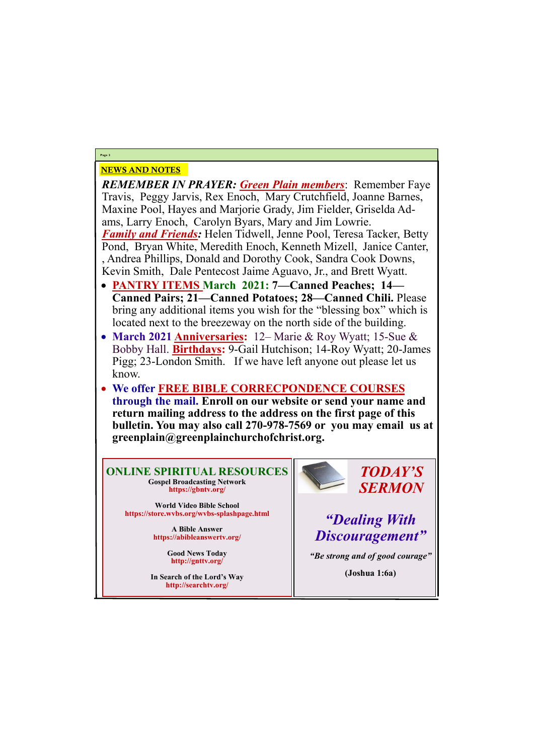# NEWS AND NOTES

*REMEMBER IN PRAYER: Green Plain members*: Remember Faye Travis, Peggy Jarvis, Rex Enoch, Mary Crutchfield, Joanne Barnes, Maxine Pool, Hayes and Marjorie Grady, Jim Fielder, Griselda Adams, Larry Enoch, Carolyn Byars, Mary and Jim Lowrie. *Family and Friends:* Helen Tidwell, Jenne Pool, Teresa Tacker, Betty Pond, Bryan White, Meredith Enoch, Kenneth Mizell, Janice Canter, , Andrea Phillips, Donald and Dorothy Cook, Sandra Cook Downs, Kevin Smith, Dale Pentecost Jaime Aguavo, Jr., and Brett Wyatt.

- **PANTRY ITEMS March 2021: 7—Canned Peaches; 14— Canned Pairs; 21—Canned Potatoes; 28—Canned Chili.** Please bring any additional items you wish for the "blessing box" which is located next to the breezeway on the north side of the building.
- **March 2021 Anniversaries:** 12– Marie & Roy Wyatt; 15-Sue & Bobby Hall. **Birthdays:** 9-Gail Hutchison; 14-Roy Wyatt; 20-James Pigg; 23-London Smith. If we have left anyone out please let us know.
- **We offer FREE BIBLE CORRECPONDENCE COURSES through the mail. Enroll on our website or send your name and return mailing address to the address on the first page of this bulletin. You may also call 270-978-7569 or you may email us at greenplain@greenplainchurchofchrist.org.**

**Page 2**

**ONLINE SPIRITUAL RESOURCES Gospel Broadcasting Network https://gbntv.org/**

**World Video Bible School https://store.wvbs.org/wvbs-splashpage.html**

> **A Bible Answer https://abibleanswertv.org/**

> > **Good News Today http://gnttv.org/**



**In Search of the Lord's Way http://searchtv.org/**

*TODAY'S SERMON*

*"Dealing With Discouragement"*

*"Be strong and of good courage"*

**(Joshua 1:6a)**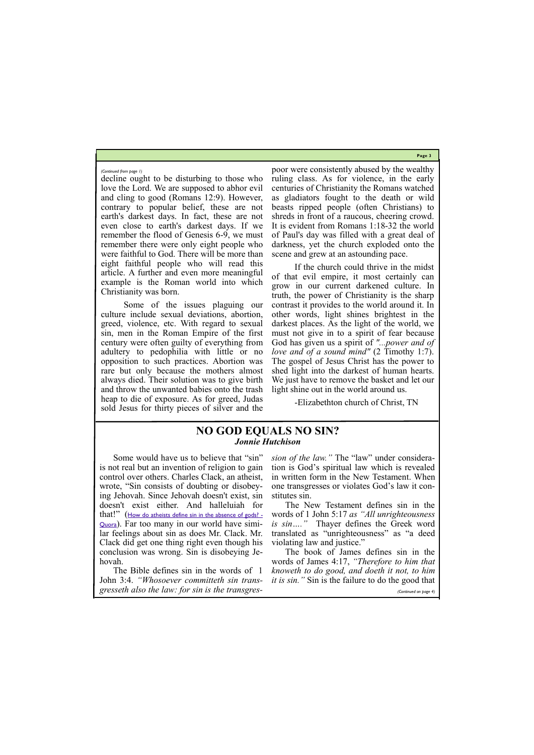**Page 3**

decline ought to be disturbing to those who love the Lord. We are supposed to abhor evil and cling to good (Romans 12:9). However, contrary to popular belief, these are not earth's darkest days. In fact, these are not even close to earth's darkest days. If we remember the flood of Genesis 6-9, we must remember there were only eight people who were faithful to God. There will be more than eight faithful people who will read this article. A further and even more meaningful example is the Roman world into which Christianity was born.

Some of the issues plaguing our culture include sexual deviations, abortion, greed, violence, etc. With regard to sexual sin, men in the Roman Empire of the first century were often guilty of everything from adultery to pedophilia with little or no opposition to such practices. Abortion was rare but only because the mothers almost always died. Their solution was to give birth and throw the unwanted babies onto the trash heap to die of exposure. As for greed, Judas sold Jesus for thirty pieces of silver and the

poor were consistently abused by the wealthy ruling class. As for violence, in the early centuries of Christianity the Romans watched as gladiators fought to the death or wild beasts ripped people (often Christians) to shreds in front of a raucous, cheering crowd. It is evident from Romans 1:18-32 the world of Paul's day was filled with a great deal of darkness, yet the church exploded onto the scene and grew at an astounding pace.

If the church could thrive in the midst of that evil empire, it most certainly can grow in our current darkened culture. In truth, the power of Christianity is the sharp contrast it provides to the world around it. In other words, light shines brightest in the darkest places. As the light of the world, we must not give in to a spirit of fear because God has given us a spirit of *"...power and of love and of a sound mind"* (2 Timothy 1:7). The gospel of Jesus Christ has the power to shed light into the darkest of human hearts. We just have to remove the basket and let our light shine out in the world around us.

-Elizabethton church of Christ, TN

#### *(Continued from page 1)*

Some would have us to believe that "sin" is not real but an invention of religion to gain control over others. Charles Clack, an atheist, wrote, "Sin consists of doubting or disobeying Jehovah. Since Jehovah doesn't exist, sin doesn't exist either. And halleluiah for that!" ([How do atheists define sin in the absence of gods? -](https://www.quora.com/How-do-atheists-define-sin-in-the-absence-of-gods) [Quora](https://www.quora.com/How-do-atheists-define-sin-in-the-absence-of-gods)). Far too many in our world have similar feelings about sin as does Mr. Clack. Mr. Clack did get one thing right even though his conclusion was wrong. Sin is disobeying Je-

*sion of the law."* The "law" under consideration is God's spiritual law which is revealed in written form in the New Testament. When one transgresses or violates God's law it constitutes sin.

hovah. The Bible defines sin in the words of 1 John 3:4. *"Whosoever committeth sin trans-it is sin."* Sin is the failure to do the good that *gresseth also the law: for sin is the transgres-*The book of James defines sin in the words of James 4:17, *"Therefore to him that knoweth to do good, and doeth it not, to him (Continued on page 4)*

The New Testament defines sin in the words of 1 John 5:17 *as "All unrighteousness is sin…."* Thayer defines the Greek word translated as "unrighteousness" as "a deed violating law and justice."

## **NO GOD EQUALS NO SIN?** *Jonnie Hutchison*